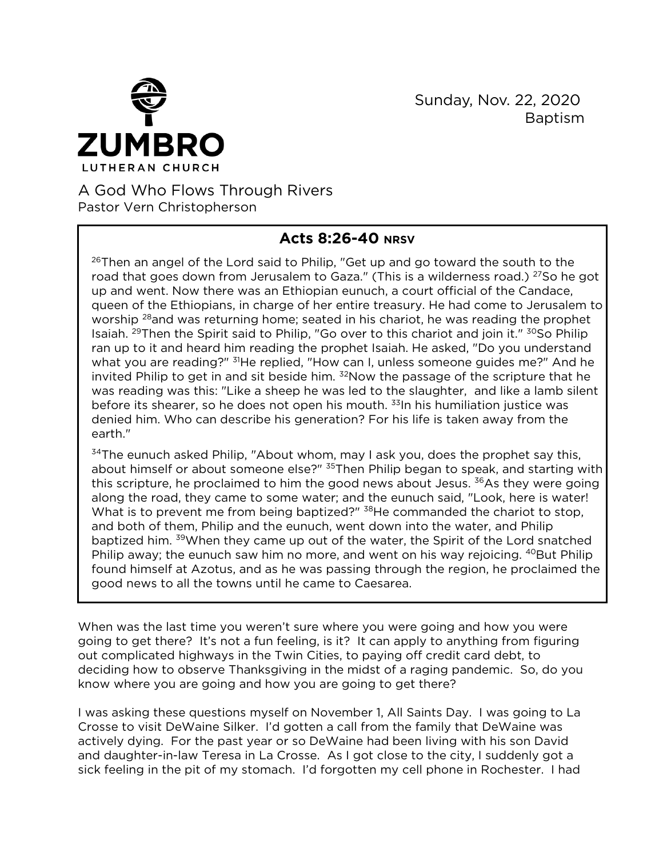

 Sunday, Nov. 22, 2020 Baptism

## A God Who Flows Through Rivers Pastor Vern Christopherson

## **Acts 8:26-40 NRSV**

<sup>26</sup>Then an angel of the Lord said to Philip, "Get up and go toward the south to the road that goes down from Jerusalem to Gaza." (This is a wilderness road.) <sup>27</sup>So he got up and went. Now there was an Ethiopian eunuch, a court official of the Candace, queen of the Ethiopians, in charge of her entire treasury. He had come to Jerusalem to worship <sup>28</sup>and was returning home; seated in his chariot, he was reading the prophet Isaiah. <sup>29</sup>Then the Spirit said to Philip, "Go over to this chariot and join it." <sup>30</sup>So Philip ran up to it and heard him reading the prophet Isaiah. He asked, "Do you understand what you are reading?" <sup>31</sup>He replied, "How can I, unless someone guides me?" And he invited Philip to get in and sit beside him.  $32$ Now the passage of the scripture that he was reading was this: "Like a sheep he was led to the slaughter, and like a lamb silent before its shearer, so he does not open his mouth. <sup>33</sup>In his humiliation justice was denied him. Who can describe his generation? For his life is taken away from the earth."

 $34$ The eunuch asked Philip, "About whom, may I ask you, does the prophet say this, about himself or about someone else?" <sup>35</sup>Then Philip began to speak, and starting with this scripture, he proclaimed to him the good news about Jesus.  $36As$  they were going along the road, they came to some water; and the eunuch said, "Look, here is water! What is to prevent me from being baptized?" <sup>38</sup>He commanded the chariot to stop, and both of them, Philip and the eunuch, went down into the water, and Philip baptized him. <sup>39</sup>When they came up out of the water, the Spirit of the Lord snatched Philip away; the eunuch saw him no more, and went on his way rejoicing. <sup>40</sup>But Philip found himself at Azotus, and as he was passing through the region, he proclaimed the good news to all the towns until he came to Caesarea.

When was the last time you weren't sure where you were going and how you were going to get there? It's not a fun feeling, is it? It can apply to anything from figuring out complicated highways in the Twin Cities, to paying off credit card debt, to deciding how to observe Thanksgiving in the midst of a raging pandemic. So, do you know where you are going and how you are going to get there?

I was asking these questions myself on November 1, All Saints Day. I was going to La Crosse to visit DeWaine Silker. I'd gotten a call from the family that DeWaine was actively dying. For the past year or so DeWaine had been living with his son David and daughter-in-law Teresa in La Crosse. As I got close to the city, I suddenly got a sick feeling in the pit of my stomach. I'd forgotten my cell phone in Rochester. I had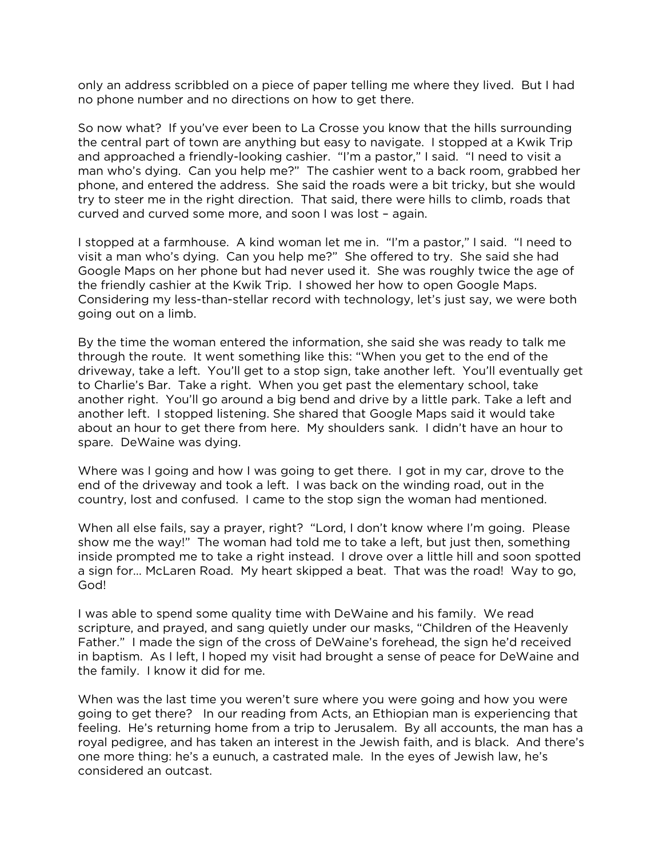only an address scribbled on a piece of paper telling me where they lived. But I had no phone number and no directions on how to get there.

So now what? If you've ever been to La Crosse you know that the hills surrounding the central part of town are anything but easy to navigate. I stopped at a Kwik Trip and approached a friendly-looking cashier. "I'm a pastor," I said. "I need to visit a man who's dying. Can you help me?" The cashier went to a back room, grabbed her phone, and entered the address. She said the roads were a bit tricky, but she would try to steer me in the right direction. That said, there were hills to climb, roads that curved and curved some more, and soon I was lost – again.

I stopped at a farmhouse. A kind woman let me in. "I'm a pastor," I said. "I need to visit a man who's dying. Can you help me?" She offered to try. She said she had Google Maps on her phone but had never used it. She was roughly twice the age of the friendly cashier at the Kwik Trip. I showed her how to open Google Maps. Considering my less-than-stellar record with technology, let's just say, we were both going out on a limb.

By the time the woman entered the information, she said she was ready to talk me through the route. It went something like this: "When you get to the end of the driveway, take a left. You'll get to a stop sign, take another left. You'll eventually get to Charlie's Bar. Take a right. When you get past the elementary school, take another right. You'll go around a big bend and drive by a little park. Take a left and another left. I stopped listening. She shared that Google Maps said it would take about an hour to get there from here. My shoulders sank. I didn't have an hour to spare. DeWaine was dying.

Where was I going and how I was going to get there. I got in my car, drove to the end of the driveway and took a left. I was back on the winding road, out in the country, lost and confused. I came to the stop sign the woman had mentioned.

When all else fails, say a prayer, right? "Lord, I don't know where I'm going. Please show me the way!" The woman had told me to take a left, but just then, something inside prompted me to take a right instead. I drove over a little hill and soon spotted a sign for… McLaren Road. My heart skipped a beat. That was the road! Way to go, God!

I was able to spend some quality time with DeWaine and his family. We read scripture, and prayed, and sang quietly under our masks, "Children of the Heavenly Father." I made the sign of the cross of DeWaine's forehead, the sign he'd received in baptism. As I left, I hoped my visit had brought a sense of peace for DeWaine and the family. I know it did for me.

When was the last time you weren't sure where you were going and how you were going to get there? In our reading from Acts, an Ethiopian man is experiencing that feeling. He's returning home from a trip to Jerusalem. By all accounts, the man has a royal pedigree, and has taken an interest in the Jewish faith, and is black. And there's one more thing: he's a eunuch, a castrated male. In the eyes of Jewish law, he's considered an outcast.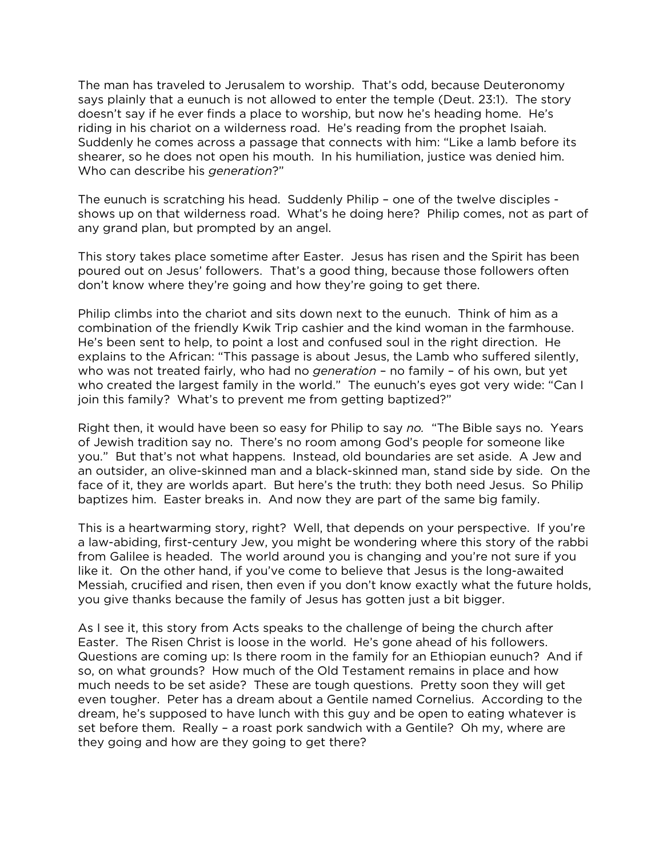The man has traveled to Jerusalem to worship. That's odd, because Deuteronomy says plainly that a eunuch is not allowed to enter the temple (Deut. 23:1). The story doesn't say if he ever finds a place to worship, but now he's heading home. He's riding in his chariot on a wilderness road. He's reading from the prophet Isaiah. Suddenly he comes across a passage that connects with him: "Like a lamb before its shearer, so he does not open his mouth. In his humiliation, justice was denied him. Who can describe his *generation*?"

The eunuch is scratching his head. Suddenly Philip – one of the twelve disciples shows up on that wilderness road. What's he doing here? Philip comes, not as part of any grand plan, but prompted by an angel.

This story takes place sometime after Easter. Jesus has risen and the Spirit has been poured out on Jesus' followers. That's a good thing, because those followers often don't know where they're going and how they're going to get there.

Philip climbs into the chariot and sits down next to the eunuch. Think of him as a combination of the friendly Kwik Trip cashier and the kind woman in the farmhouse. He's been sent to help, to point a lost and confused soul in the right direction. He explains to the African: "This passage is about Jesus, the Lamb who suffered silently, who was not treated fairly, who had no *generation* – no family – of his own, but yet who created the largest family in the world." The eunuch's eyes got very wide: "Can I join this family? What's to prevent me from getting baptized?"

Right then, it would have been so easy for Philip to say *no.* "The Bible says no. Years of Jewish tradition say no. There's no room among God's people for someone like you." But that's not what happens. Instead, old boundaries are set aside. A Jew and an outsider, an olive-skinned man and a black-skinned man, stand side by side. On the face of it, they are worlds apart. But here's the truth: they both need Jesus. So Philip baptizes him. Easter breaks in. And now they are part of the same big family.

This is a heartwarming story, right? Well, that depends on your perspective. If you're a law-abiding, first-century Jew, you might be wondering where this story of the rabbi from Galilee is headed. The world around you is changing and you're not sure if you like it. On the other hand, if you've come to believe that Jesus is the long-awaited Messiah, crucified and risen, then even if you don't know exactly what the future holds, you give thanks because the family of Jesus has gotten just a bit bigger.

As I see it, this story from Acts speaks to the challenge of being the church after Easter. The Risen Christ is loose in the world. He's gone ahead of his followers. Questions are coming up: Is there room in the family for an Ethiopian eunuch? And if so, on what grounds? How much of the Old Testament remains in place and how much needs to be set aside? These are tough questions. Pretty soon they will get even tougher. Peter has a dream about a Gentile named Cornelius. According to the dream, he's supposed to have lunch with this guy and be open to eating whatever is set before them. Really – a roast pork sandwich with a Gentile? Oh my, where are they going and how are they going to get there?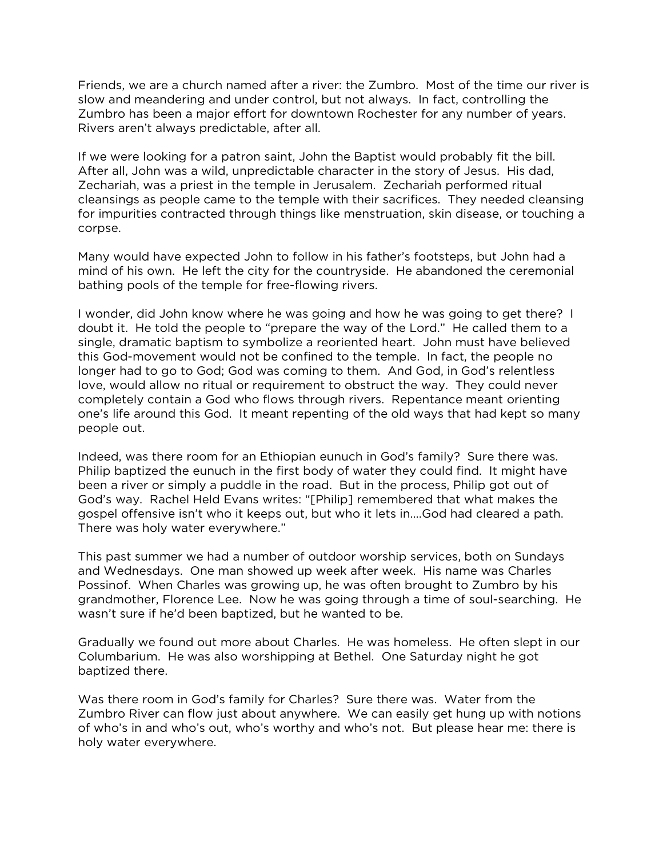Friends, we are a church named after a river: the Zumbro. Most of the time our river is slow and meandering and under control, but not always. In fact, controlling the Zumbro has been a major effort for downtown Rochester for any number of years. Rivers aren't always predictable, after all.

If we were looking for a patron saint, John the Baptist would probably fit the bill. After all, John was a wild, unpredictable character in the story of Jesus. His dad, Zechariah, was a priest in the temple in Jerusalem. Zechariah performed ritual cleansings as people came to the temple with their sacrifices. They needed cleansing for impurities contracted through things like menstruation, skin disease, or touching a corpse.

Many would have expected John to follow in his father's footsteps, but John had a mind of his own. He left the city for the countryside. He abandoned the ceremonial bathing pools of the temple for free-flowing rivers.

I wonder, did John know where he was going and how he was going to get there? I doubt it. He told the people to "prepare the way of the Lord." He called them to a single, dramatic baptism to symbolize a reoriented heart. John must have believed this God-movement would not be confined to the temple. In fact, the people no longer had to go to God; God was coming to them. And God, in God's relentless love, would allow no ritual or requirement to obstruct the way. They could never completely contain a God who flows through rivers. Repentance meant orienting one's life around this God. It meant repenting of the old ways that had kept so many people out.

Indeed, was there room for an Ethiopian eunuch in God's family? Sure there was. Philip baptized the eunuch in the first body of water they could find. It might have been a river or simply a puddle in the road. But in the process, Philip got out of God's way. Rachel Held Evans writes: "[Philip] remembered that what makes the gospel offensive isn't who it keeps out, but who it lets in….God had cleared a path. There was holy water everywhere."

This past summer we had a number of outdoor worship services, both on Sundays and Wednesdays. One man showed up week after week. His name was Charles Possinof. When Charles was growing up, he was often brought to Zumbro by his grandmother, Florence Lee. Now he was going through a time of soul-searching. He wasn't sure if he'd been baptized, but he wanted to be.

Gradually we found out more about Charles. He was homeless. He often slept in our Columbarium. He was also worshipping at Bethel. One Saturday night he got baptized there.

Was there room in God's family for Charles? Sure there was. Water from the Zumbro River can flow just about anywhere. We can easily get hung up with notions of who's in and who's out, who's worthy and who's not. But please hear me: there is holy water everywhere.